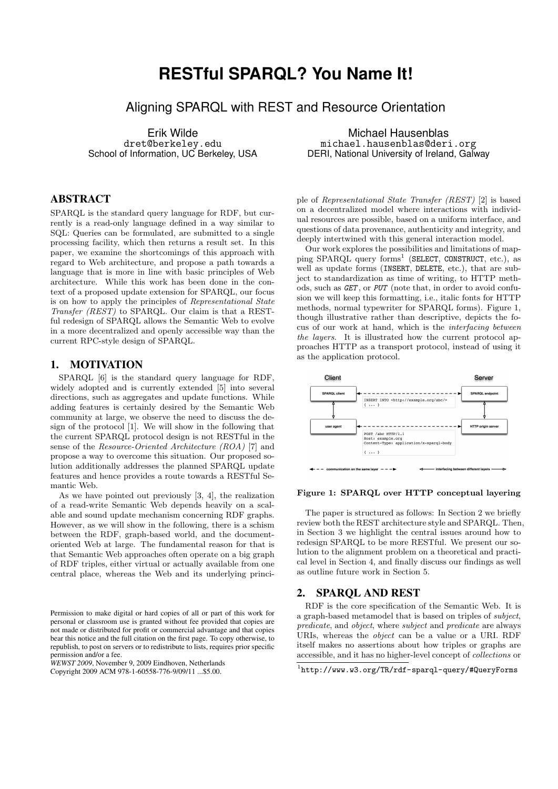# **RESTful SPARQL? You Name It!**

Aligning SPARQL with REST and Resource Orientation

Erik Wilde dret@berkeley.edu School of Information, UC Berkeley, USA

## ABSTRACT

SPARQL is the standard query language for RDF, but currently is a read-only language defined in a way similar to SQL: Queries can be formulated, are submitted to a single processing facility, which then returns a result set. In this paper, we examine the shortcomings of this approach with regard to Web architecture, and propose a path towards a language that is more in line with basic principles of Web architecture. While this work has been done in the context of a proposed update extension for SPARQL, our focus is on how to apply the principles of Representational State Transfer (REST) to SPARQL. Our claim is that a RESTful redesign of SPARQL allows the Semantic Web to evolve in a more decentralized and openly accessible way than the current RPC-style design of SPARQL.

### 1. MOTIVATION

SPARQL [6] is the standard query language for RDF, widely adopted and is currently extended [5] into several directions, such as aggregates and update functions. While adding features is certainly desired by the Semantic Web community at large, we observe the need to discuss the design of the protocol [1]. We will show in the following that the current SPARQL protocol design is not RESTful in the sense of the Resource-Oriented Architecture (ROA) [7] and propose a way to overcome this situation. Our proposed solution additionally addresses the planned SPARQL update features and hence provides a route towards a RESTful Semantic Web.

As we have pointed out previously [3, 4], the realization of a read-write Semantic Web depends heavily on a scalable and sound update mechanism concerning RDF graphs. However, as we will show in the following, there is a schism between the RDF, graph-based world, and the documentoriented Web at large. The fundamental reason for that is that Semantic Web approaches often operate on a big graph of RDF triples, either virtual or actually available from one central place, whereas the Web and its underlying princi-

*WEWST 2009*, November 9, 2009 Eindhoven, Netherlands Copyright 2009 ACM 978-1-60558-776-9/09/11 ...\$5.00.

Michael Hausenblas michael.hausenblas@deri.org DERI, National University of Ireland, Galway

ple of Representational State Transfer (REST) [2] is based on a decentralized model where interactions with individual resources are possible, based on a uniform interface, and questions of data provenance, authenticity and integrity, and deeply intertwined with this general interaction model.

Our work explores the possibilities and limitations of mapping SPARQL query forms<sup>1</sup> (SELECT, CONSTRUCT, etc.), as well as update forms (INSERT, DELETE, etc.), that are subject to standardization as time of writing, to HTTP methods, such as GET , or PUT (note that, in order to avoid confusion we will keep this formatting, i.e., italic fonts for HTTP methods, normal typewriter for SPARQL forms). Figure 1, though illustrative rather than descriptive, depicts the focus of our work at hand, which is the interfacing between the layers. It is illustrated how the current protocol approaches HTTP as a transport protocol, instead of using it as the application protocol.



#### Figure 1: SPARQL over HTTP conceptual layering

The paper is structured as follows: In Section 2 we briefly review both the REST architecture style and SPARQL. Then, in Section 3 we highlight the central issues around how to redesign SPARQL to be more RESTful. We present our solution to the alignment problem on a theoretical and practical level in Section 4, and finally discuss our findings as well as outline future work in Section 5.

## 2. SPARQL AND REST

RDF is the core specification of the Semantic Web. It is a graph-based metamodel that is based on triples of subject, predicate, and object, where subject and predicate are always URIs, whereas the object can be a value or a URI. RDF itself makes no assertions about how triples or graphs are accessible, and it has no higher-level concept of collections or

Permission to make digital or hard copies of all or part of this work for personal or classroom use is granted without fee provided that copies are not made or distributed for profit or commercial advantage and that copies bear this notice and the full citation on the first page. To copy otherwise, to republish, to post on servers or to redistribute to lists, requires prior specific permission and/or a fee.

<sup>1</sup> http://www.w3.org/TR/rdf-sparql-query/#QueryForms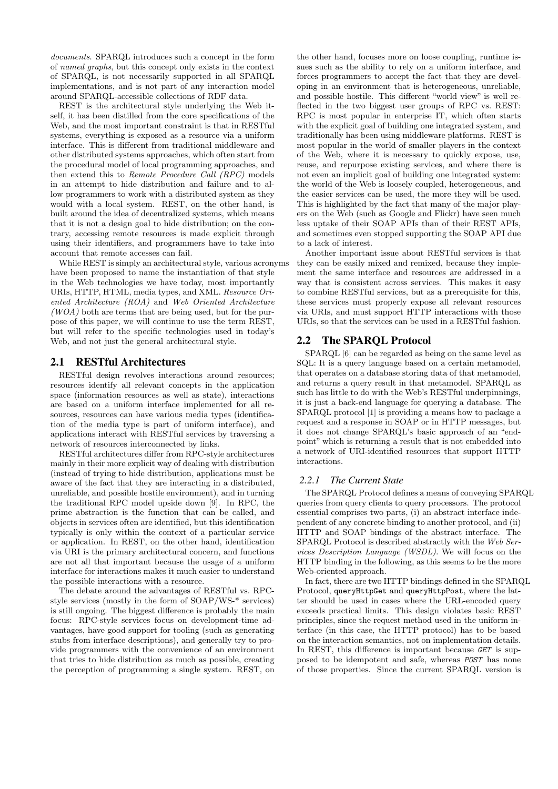documents. SPARQL introduces such a concept in the form of named graphs, but this concept only exists in the context of SPARQL, is not necessarily supported in all SPARQL implementations, and is not part of any interaction model around SPARQL-accessible collections of RDF data.

REST is the architectural style underlying the Web itself, it has been distilled from the core specifications of the Web, and the most important constraint is that in RESTful systems, everything is exposed as a resource via a uniform interface. This is different from traditional middleware and other distributed systems approaches, which often start from the procedural model of local programming approaches, and then extend this to Remote Procedure Call (RPC) models in an attempt to hide distribution and failure and to allow programmers to work with a distributed system as they would with a local system. REST, on the other hand, is built around the idea of decentralized systems, which means that it is not a design goal to hide distribution; on the contrary, accessing remote resources is made explicit through using their identifiers, and programmers have to take into account that remote accesses can fail.

While REST is simply an architectural style, various acronyms have been proposed to name the instantiation of that style in the Web technologies we have today, most importantly URIs, HTTP, HTML, media types, and XML. Resource Oriented Architecture (ROA) and Web Oriented Architecture  $(WOA)$  both are terms that are being used, but for the purpose of this paper, we will continue to use the term REST, but will refer to the specific technologies used in today's Web, and not just the general architectural style.

## 2.1 RESTful Architectures

RESTful design revolves interactions around resources; resources identify all relevant concepts in the application space (information resources as well as state), interactions are based on a uniform interface implemented for all resources, resources can have various media types (identification of the media type is part of uniform interface), and applications interact with RESTful services by traversing a network of resources interconnected by links.

RESTful architectures differ from RPC-style architectures mainly in their more explicit way of dealing with distribution (instead of trying to hide distribution, applications must be aware of the fact that they are interacting in a distributed, unreliable, and possible hostile environment), and in turning the traditional RPC model upside down [9]. In RPC, the prime abstraction is the function that can be called, and objects in services often are identified, but this identification typically is only within the context of a particular service or application. In REST, on the other hand, identification via URI is the primary architectural concern, and functions are not all that important because the usage of a uniform interface for interactions makes it much easier to understand the possible interactions with a resource.

The debate around the advantages of RESTful vs. RPCstyle services (mostly in the form of SOAP/WS-\* services) is still ongoing. The biggest difference is probably the main focus: RPC-style services focus on development-time advantages, have good support for tooling (such as generating stubs from interface descriptions), and generally try to provide programmers with the convenience of an environment that tries to hide distribution as much as possible, creating the perception of programming a single system. REST, on

the other hand, focuses more on loose coupling, runtime issues such as the ability to rely on a uniform interface, and forces programmers to accept the fact that they are developing in an environment that is heterogeneous, unreliable, and possible hostile. This different "world view" is well reflected in the two biggest user groups of RPC vs. REST: RPC is most popular in enterprise IT, which often starts with the explicit goal of building one integrated system, and traditionally has been using middleware platforms. REST is most popular in the world of smaller players in the context of the Web, where it is necessary to quickly expose, use, reuse, and repurpose existing services, and where there is not even an implicit goal of building one integrated system: the world of the Web is loosely coupled, heterogeneous, and the easier services can be used, the more they will be used. This is highlighted by the fact that many of the major players on the Web (such as Google and Flickr) have seen much less uptake of their SOAP APIs than of their REST APIs, and sometimes even stopped supporting the SOAP API due to a lack of interest.

Another important issue about RESTful services is that they can be easily mixed and remixed, because they implement the same interface and resources are addressed in a way that is consistent across services. This makes it easy to combine RESTful services, but as a prerequisite for this, these services must properly expose all relevant resources via URIs, and must support HTTP interactions with those URIs, so that the services can be used in a RESTful fashion.

## 2.2 The SPARQL Protocol

SPARQL [6] can be regarded as being on the same level as SQL: It is a query language based on a certain metamodel, that operates on a database storing data of that metamodel, and returns a query result in that metamodel. SPARQL as such has little to do with the Web's RESTful underpinnings, it is just a back-end language for querying a database. The SPARQL protocol [1] is providing a means how to package a request and a response in SOAP or in HTTP messages, but it does not change SPARQL's basic approach of an "endpoint" which is returning a result that is not embedded into a network of URI-identified resources that support HTTP interactions.

## *2.2.1 The Current State*

The SPARQL Protocol defines a means of conveying SPARQL queries from query clients to query processors. The protocol essential comprises two parts, (i) an abstract interface independent of any concrete binding to another protocol, and (ii) HTTP and SOAP bindings of the abstract interface. The SPARQL Protocol is described abstractly with the Web Services Description Language (WSDL). We will focus on the HTTP binding in the following, as this seems to be the more Web-oriented approach.

In fact, there are two HTTP bindings defined in the SPARQL Protocol, queryHttpGet and queryHttpPost, where the latter should be used in cases where the URL-encoded query exceeds practical limits. This design violates basic REST principles, since the request method used in the uniform interface (in this case, the HTTP protocol) has to be based on the interaction semantics, not on implementation details. In REST, this difference is important because GET is supposed to be idempotent and safe, whereas POST has none of those properties. Since the current SPARQL version is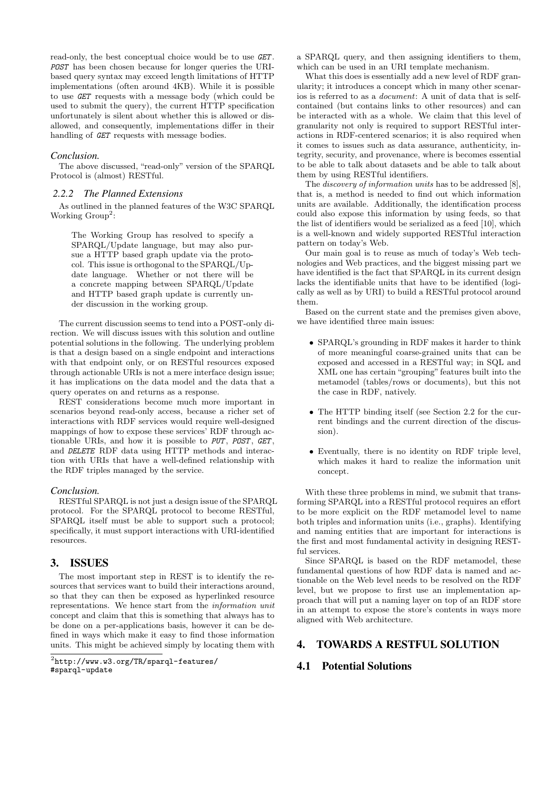read-only, the best conceptual choice would be to use GET. POST has been chosen because for longer queries the URIbased query syntax may exceed length limitations of HTTP implementations (often around 4KB). While it is possible to use GET requests with a message body (which could be used to submit the query), the current HTTP specification unfortunately is silent about whether this is allowed or disallowed, and consequently, implementations differ in their handling of **GET** requests with message bodies.

#### *Conclusion.*

The above discussed, "read-only" version of the SPARQL Protocol is (almost) RESTful.

#### *2.2.2 The Planned Extensions*

As outlined in the planned features of the W3C SPARQL Working  $Group^2$ :

The Working Group has resolved to specify a SPARQL/Update language, but may also pursue a HTTP based graph update via the protocol. This issue is orthogonal to the SPARQL/Update language. Whether or not there will be a concrete mapping between SPARQL/Update and HTTP based graph update is currently under discussion in the working group.

The current discussion seems to tend into a POST-only direction. We will discuss issues with this solution and outline potential solutions in the following. The underlying problem is that a design based on a single endpoint and interactions with that endpoint only, or on RESTful resources exposed through actionable URIs is not a mere interface design issue; it has implications on the data model and the data that a query operates on and returns as a response.

REST considerations become much more important in scenarios beyond read-only access, because a richer set of interactions with RDF services would require well-designed mappings of how to expose these services' RDF through actionable URIs, and how it is possible to PUT, POST, GET, and DELETE RDF data using HTTP methods and interaction with URIs that have a well-defined relationship with the RDF triples managed by the service.

#### *Conclusion.*

RESTful SPARQL is not just a design issue of the SPARQL protocol. For the SPARQL protocol to become RESTful, SPARQL itself must be able to support such a protocol; specifically, it must support interactions with URI-identified resources.

## 3. ISSUES

The most important step in REST is to identify the resources that services want to build their interactions around, so that they can then be exposed as hyperlinked resource representations. We hence start from the information unit concept and claim that this is something that always has to be done on a per-applications basis, however it can be defined in ways which make it easy to find those information units. This might be achieved simply by locating them with

a SPARQL query, and then assigning identifiers to them, which can be used in an URI template mechanism.

What this does is essentially add a new level of RDF granularity; it introduces a concept which in many other scenarios is referred to as a document: A unit of data that is selfcontained (but contains links to other resources) and can be interacted with as a whole. We claim that this level of granularity not only is required to support RESTful interactions in RDF-centered scenarios; it is also required when it comes to issues such as data assurance, authenticity, integrity, security, and provenance, where is becomes essential to be able to talk about datasets and be able to talk about them by using RESTful identifiers.

The *discovery of information units* has to be addressed [8], that is, a method is needed to find out which information units are available. Additionally, the identification process could also expose this information by using feeds, so that the list of identifiers would be serialized as a feed [10], which is a well-known and widely supported RESTful interaction pattern on today's Web.

Our main goal is to reuse as much of today's Web technologies and Web practices, and the biggest missing part we have identified is the fact that SPARQL in its current design lacks the identifiable units that have to be identified (logically as well as by URI) to build a RESTful protocol around them.

Based on the current state and the premises given above, we have identified three main issues:

- SPARQL's grounding in RDF makes it harder to think of more meaningful coarse-grained units that can be exposed and accessed in a RESTful way; in SQL and XML one has certain "grouping" features built into the metamodel (tables/rows or documents), but this not the case in RDF, natively.
- The HTTP binding itself (see Section 2.2 for the current bindings and the current direction of the discussion).
- Eventually, there is no identity on RDF triple level, which makes it hard to realize the information unit concept.

With these three problems in mind, we submit that transforming SPARQL into a RESTful protocol requires an effort to be more explicit on the RDF metamodel level to name both triples and information units (i.e., graphs). Identifying and naming entities that are important for interactions is the first and most fundamental activity in designing RESTful services.

Since SPARQL is based on the RDF metamodel, these fundamental questions of how RDF data is named and actionable on the Web level needs to be resolved on the RDF level, but we propose to first use an implementation approach that will put a naming layer on top of an RDF store in an attempt to expose the store's contents in ways more aligned with Web architecture.

## 4. TOWARDS A RESTFUL SOLUTION

## 4.1 Potential Solutions

 $^{2}$ http://www.w $3.\text{org/TR/s}$ parql-features/ #sparql-update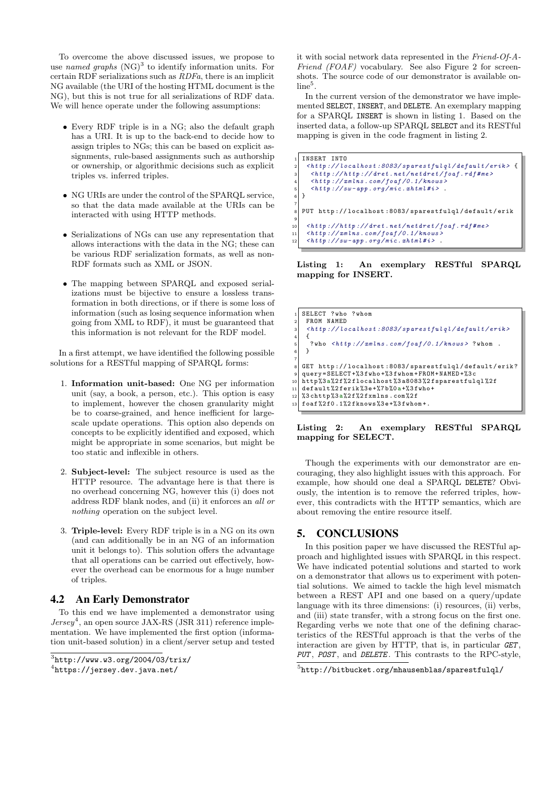To overcome the above discussed issues, we propose to use named graphs  $(NG)^3$  to identify information units. For certain RDF serializations such as RDFa, there is an implicit NG available (the URI of the hosting HTML document is the NG), but this is not true for all serializations of RDF data. We will hence operate under the following assumptions:

- Every RDF triple is in a NG; also the default graph has a URI. It is up to the back-end to decide how to assign triples to NGs; this can be based on explicit assignments, rule-based assignments such as authorship or ownership, or algorithmic decisions such as explicit triples vs. inferred triples.
- NG URIs are under the control of the SPARQL service, so that the data made available at the URIs can be interacted with using HTTP methods.
- Serializations of NGs can use any representation that allows interactions with the data in the NG; these can be various RDF serialization formats, as well as non-RDF formats such as XML or JSON.
- The mapping between SPAROL and exposed serializations must be bijective to ensure a lossless transformation in both directions, or if there is some loss of information (such as losing sequence information when going from XML to RDF), it must be guaranteed that this information is not relevant for the RDF model.

In a first attempt, we have identified the following possible solutions for a RESTful mapping of SPARQL forms:

- 1. Information unit-based: One NG per information unit (say, a book, a person, etc.). This option is easy to implement, however the chosen granularity might be to coarse-grained, and hence inefficient for largescale update operations. This option also depends on concepts to be explicitly identified and exposed, which might be appropriate in some scenarios, but might be too static and inflexible in others.
- 2. Subject-level: The subject resource is used as the HTTP resource. The advantage here is that there is no overhead concerning NG, however this (i) does not address RDF blank nodes, and (ii) it enforces an all or nothing operation on the subject level.
- 3. Triple-level: Every RDF triple is in a NG on its own (and can additionally be in an NG of an information unit it belongs to). This solution offers the advantage that all operations can be carried out effectively, however the overhead can be enormous for a huge number of triples.

## 4.2 An Early Demonstrator

To this end we have implemented a demonstrator using  $Jersey<sup>4</sup>$ , an open source JAX-RS (JSR 311) reference implementation. We have implemented the first option (information unit-based solution) in a client/server setup and tested

```
^4https://jersey.dev.java.net/
```
it with social network data represented in the Friend-Of-A-Friend (FOAF) vocabulary. See also Figure 2 for screenshots. The source code of our demonstrator is available on $line<sup>5</sup>$ .

In the current version of the demonstrator we have implemented SELECT, INSERT, and DELETE. An exemplary mapping for a SPARQL INSERT is shown in listing 1. Based on the inserted data, a follow-up SPARQL SELECT and its RESTful mapping is given in the code fragment in listing 2.

```
1 INSERT INTO
      \langle http://localhost:8083/sparsestfulql/default/erik>\langle \textit{http://http://dret.net/netdret/foaf.rdf\#me}\rangle\langle httip://xmlns.com/foaf/0.1/knows\rangle\langle h \, t \, t \, p \, : // \, sw - app \, . \, org/mic \, . \, xh \, tml \, \#i \, > \, .\overline{ }7
   8 PUT http :// localhost :8083/ sparestfulql / default / erik
 9
10 \n  - \n  <i>http://http://dret.net/netdret/foaf.rdf#me&gt; </i>\n  <i>http://zmlns.com/foaf/0.1/knows</i>\langle h\,t\,tp://xm\,l\,ns.\,com/fo\,af/0.1/knows12 \n  <htttp://sw-app.org/mic.nthml\#i>.
```
Listing 1: An exemplary RESTful SPARQL mapping for INSERT.

|                 | SELECT ?who ?whom                                                           |
|-----------------|-----------------------------------------------------------------------------|
| $\overline{2}$  | FROM NAMED                                                                  |
| 3               | $\langle h t t p : // local host : 8083/s parestfulql/default/erik \rangle$ |
| 4               |                                                                             |
| 5               | ?who $\n   ?whom.$                                                          |
|                 |                                                                             |
|                 |                                                                             |
| 8               | GET http://localhost:8083/sparestfulql/default/erik?                        |
| $\vert$         | $query = SELECT + %3f who + %3f whom + FROM + NAMED + %3c$                  |
| 10 <sup>1</sup> | http%3a%2f%2flocalhost%3a8083%2fsparestfulgl%2f                             |
| 11 I            | default%2ferik%3e+%7b%0a+%3fwho+                                            |
| 12              | %3chttp%3a%2f%2fxmlns.com%2f                                                |
|                 | 13 foaf%2f0.1%2fknows%3e+%3fwhom+.                                          |
|                 |                                                                             |

Listing 2: An exemplary RESTful SPARQL mapping for SELECT.

Though the experiments with our demonstrator are encouraging, they also highlight issues with this approach. For example, how should one deal a SPARQL DELETE? Obviously, the intention is to remove the referred triples, however, this contradicts with the HTTP semantics, which are about removing the entire resource itself.

## 5. CONCLUSIONS

In this position paper we have discussed the RESTful approach and highlighted issues with SPARQL in this respect. We have indicated potential solutions and started to work on a demonstrator that allows us to experiment with potential solutions. We aimed to tackle the high level mismatch between a REST API and one based on a query/update language with its three dimensions: (i) resources, (ii) verbs, and (iii) state transfer, with a strong focus on the first one. Regarding verbs we note that one of the defining characteristics of the RESTful approach is that the verbs of the interaction are given by HTTP, that is, in particular  $GET$ , PUT, POST, and DELETE. This contrasts to the RPC-style,

 $3$ http://www.w3.org/2004/03/trix/

 $^{5}$ http://bitbucket.org/mhausenblas/sparestfulql/